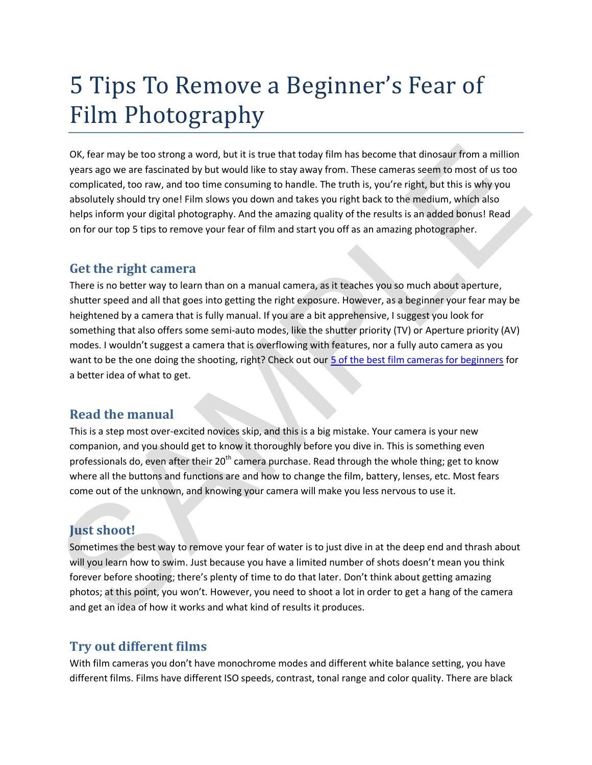# 5 Tips To Remove a Beginner's Fear of Film Photography

OK, fear may be too strong a word, but it is true that today film has become that dinosaur from a million years ago we are fascinated by but would like to stay away from. These cameras seem to most of us too complicated, too raw, and too time consuming to handle. The truth is, you're right, but this is why you absolutely should try one! Film slows you down and takes you right back to the medium, which also helps inform your digital photography. And the amazing quality of the results is an added bonus! Read on for our top 5 tips to remove your fear of film and start you off as an amazing photographer.

#### **Get the right camera**

There is no better way to learn than on a manual camera, as it teaches you so much about aperture, shutter speed and all that goes into getting the right exposure. However, as a beginner your fear may be heightened by a camera that is fully manual. If you are a bit apprehensive, I suggest you look for something that also offers some semi-auto modes, like the shutter priority (TV) or Aperture priority (AV) modes. I wouldn't suggest a camera that is overflowing with features, nor a fully auto camera as you want to be the one doing the shooting, right? Check out our 5 of the best film cameras for beginners for a better idea of what to get. OK, fear may be too strong a word, but it is true that today film has become that dinosaur from a million years ago we are fascinated by but woold like to stay away from. These cames as een for omost of us to space and to

### **Read the manual**

This is a step most over-excited novices skip, and this is a big mistake. Your camera is your new companion, and you should get to know it thoroughly before you dive in. This is something even professionals do, even after their  $20<sup>th</sup>$  camera purchase. Read through the whole thing; get to know where all the buttons and functions are and how to change the film, battery, lenses, etc. Most fears come out of the unknown, and knowing your camera will make you less nervous to use it.

# **Just shoot!**

Sometimes the best way to remove your fear of water is to just dive in at the deep end and thrash about will you learn how to swim. Just because you have a limited number of shots doesn't mean you think forever before shooting; there's plenty of time to do that later. Don't think about getting amazing photos; at this point, you won't. However, you need to shoot a lot in order to get a hang of the camera and get an idea of how it works and what kind of results it produces.

## **Try out different films**

With film cameras you don't have monochrome modes and different white balance setting, you have different films. Films have different ISO speeds, contrast, tonal range and color quality. There are black